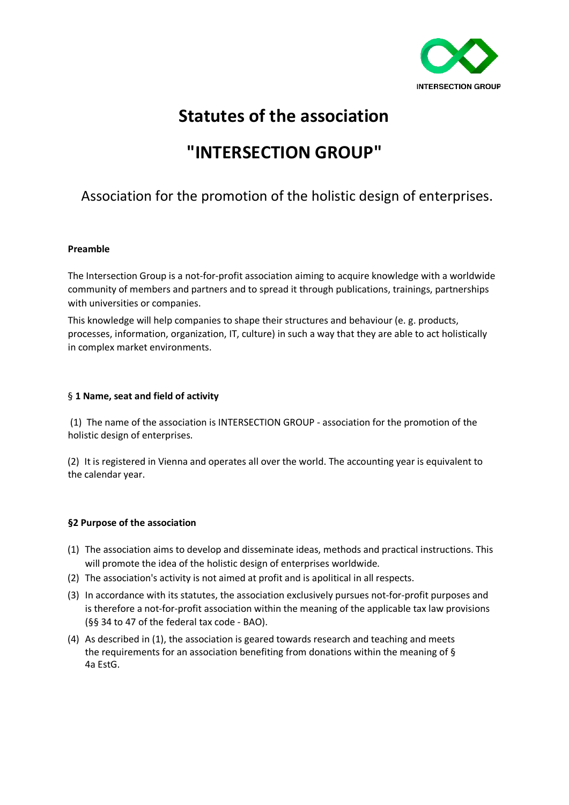

# **Statutes of the association**

# **"INTERSECTION GROUP"**

# Association for the promotion of the holistic design of enterprises.

#### **Preamble**

The Intersection Group is a not-for-profit association aiming to acquire knowledge with a worldwide community of members and partners and to spread it through publications, trainings, partnerships with universities or companies.

This knowledge will help companies to shape their structures and behaviour (e. g. products, processes, information, organization, IT, culture) in such a way that they are able to act holistically in complex market environments.

#### § **1 Name, seat and field of activity**

(1) The name of the association is INTERSECTION GROUP - association for the promotion of the holistic design of enterprises.

(2) It is registered in Vienna and operates all over the world. The accounting year is equivalent to the calendar year.

# **§2 Purpose of the association**

- (1) The association aims to develop and disseminate ideas, methods and practical instructions. This will promote the idea of the holistic design of enterprises worldwide.
- (2) The association's activity is not aimed at profit and is apolitical in all respects.
- (3) In accordance with its statutes, the association exclusively pursues not-for-profit purposes and is therefore a not-for-profit association within the meaning of the applicable tax law provisions (§§ 34 to 47 of the federal tax code - BAO).
- (4) As described in (1), the association is geared towards research and teaching and meets the requirements for an association benefiting from donations within the meaning of § 4a EstG.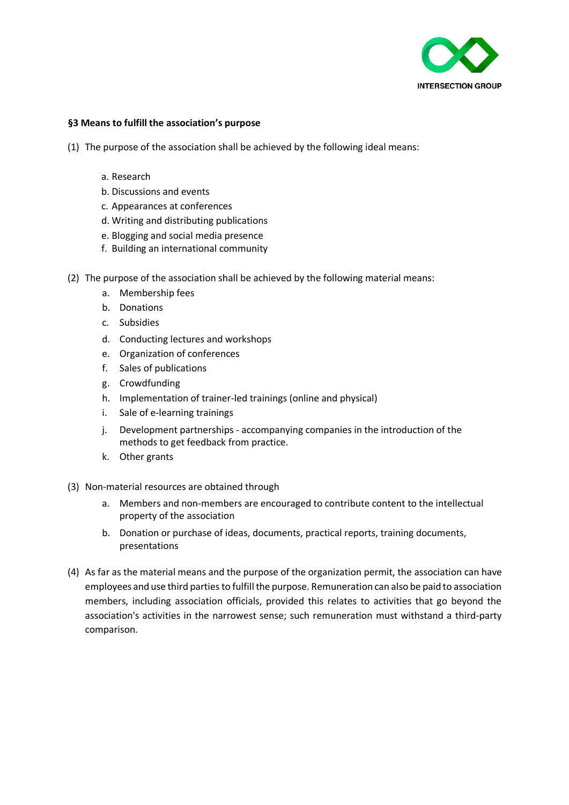

#### **§3 Means to fulfill the association's purpose**

- (1) The purpose of the association shall be achieved by the following ideal means:
	- a. Research
	- b. Discussions and events
	- c. Appearances at conferences
	- d. Writing and distributing publications
	- e. Blogging and social media presence
	- f. Building an international community
- (2) The purpose of the association shall be achieved by the following material means:
	- a. Membership fees
	- b. Donations
	- c. Subsidies
	- d. Conducting lectures and workshops
	- e. Organization of conferences
	- f. Sales of publications
	- g. Crowdfunding
	- h. Implementation of trainer-led trainings (online and physical)
	- i. Sale of e-learning trainings
	- j. Development partnerships accompanying companies in the introduction of the methods to get feedback from practice.
	- k. Other grants
- (3) Non-material resources are obtained through
	- a. Members and non-members are encouraged to contribute content to the intellectual property of the association
	- b. Donation or purchase of ideas, documents, practical reports, training documents, presentations
- (4) As far as the material means and the purpose of the organization permit, the association can have employees and use third parties to fulfill the purpose. Remuneration can also be paid to association members, including association officials, provided this relates to activities that go beyond the association's activities in the narrowest sense; such remuneration must withstand a third-party comparison.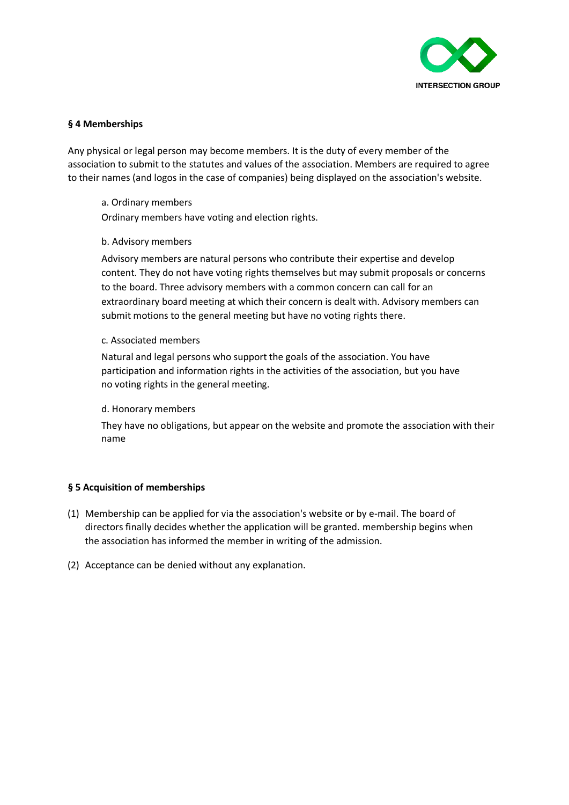

#### **§ 4 Memberships**

Any physical or legal person may become members. It is the duty of every member of the association to submit to the statutes and values of the association. Members are required to agree to their names (and logos in the case of companies) being displayed on the association's website.

#### a. Ordinary members

Ordinary members have voting and election rights.

#### b. Advisory members

Advisory members are natural persons who contribute their expertise and develop content. They do not have voting rights themselves but may submit proposals or concerns to the board. Three advisory members with a common concern can call for an extraordinary board meeting at which their concern is dealt with. Advisory members can submit motions to the general meeting but have no voting rights there.

#### c. Associated members

Natural and legal persons who support the goals of the association. You have participation and information rights in the activities of the association, but you have no voting rights in the general meeting.

#### d. Honorary members

They have no obligations, but appear on the website and promote the association with their name

# **§ 5 Acquisition of memberships**

- (1) Membership can be applied for via the association's website or by e-mail. The board of directors finally decides whether the application will be granted. membership begins when the association has informed the member in writing of the admission.
- (2) Acceptance can be denied without any explanation.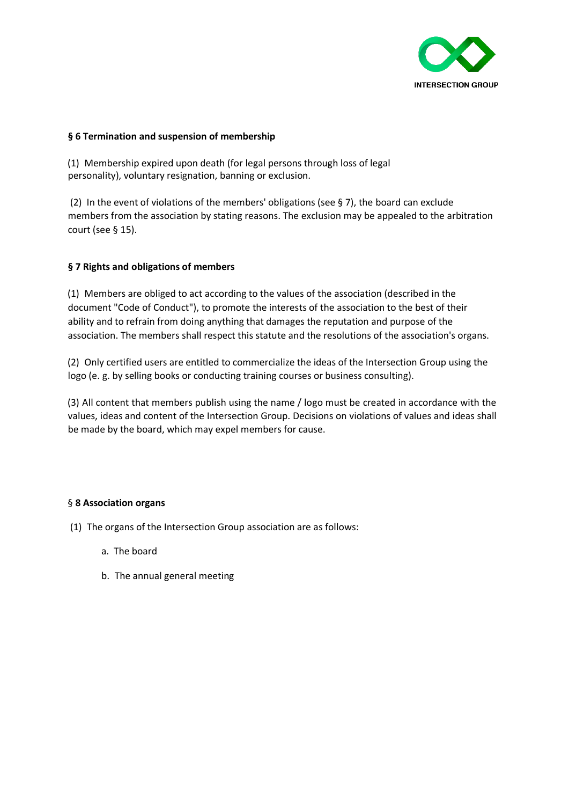

#### **§ 6 Termination and suspension of membership**

(1) Membership expired upon death (for legal persons through loss of legal personality), voluntary resignation, banning or exclusion.

(2) In the event of violations of the members' obligations (see § 7), the board can exclude members from the association by stating reasons. The exclusion may be appealed to the arbitration court (see  $\S$  15).

# **§ 7 Rights and obligations of members**

(1) Members are obliged to act according to the values of the association (described in the document "Code of Conduct"), to promote the interests of the association to the best of their ability and to refrain from doing anything that damages the reputation and purpose of the association. The members shall respect this statute and the resolutions of the association's organs.

(2) Only certified users are entitled to commercialize the ideas of the Intersection Group using the logo (e. g. by selling books or conducting training courses or business consulting).

(3) All content that members publish using the name / logo must be created in accordance with the values, ideas and content of the Intersection Group. Decisions on violations of values and ideas shall be made by the board, which may expel members for cause.

#### § **8 Association organs**

- (1) The organs of the Intersection Group association are as follows:
	- a. The board
	- b. The annual general meeting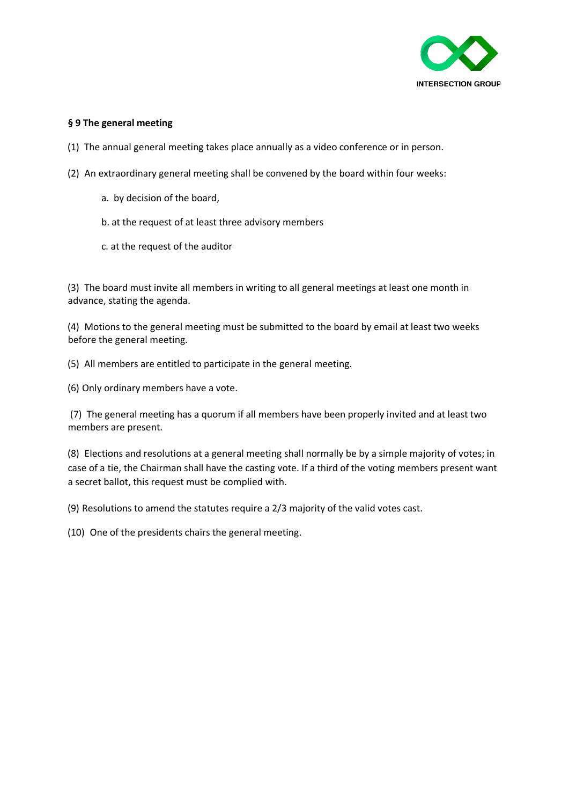

### **§ 9 The general meeting**

- (1) The annual general meeting takes place annually as a video conference or in person.
- (2) An extraordinary general meeting shall be convened by the board within four weeks:
	- a. by decision of the board,
	- b. at the request of at least three advisory members
	- c. at the request of the auditor

(3) The board must invite all members in writing to all general meetings at least one month in advance, stating the agenda.

(4) Motions to the general meeting must be submitted to the board by email at least two weeks before the general meeting.

(5) All members are entitled to participate in the general meeting.

(6) Only ordinary members have a vote.

(7) The general meeting has a quorum if all members have been properly invited and at least two members are present.

(8) Elections and resolutions at a general meeting shall normally be by a simple majority of votes; in case of a tie, the Chairman shall have the casting vote. If a third of the voting members present want a secret ballot, this request must be complied with.

(9) Resolutions to amend the statutes require a 2/3 majority of the valid votes cast.

(10) One of the presidents chairs the general meeting.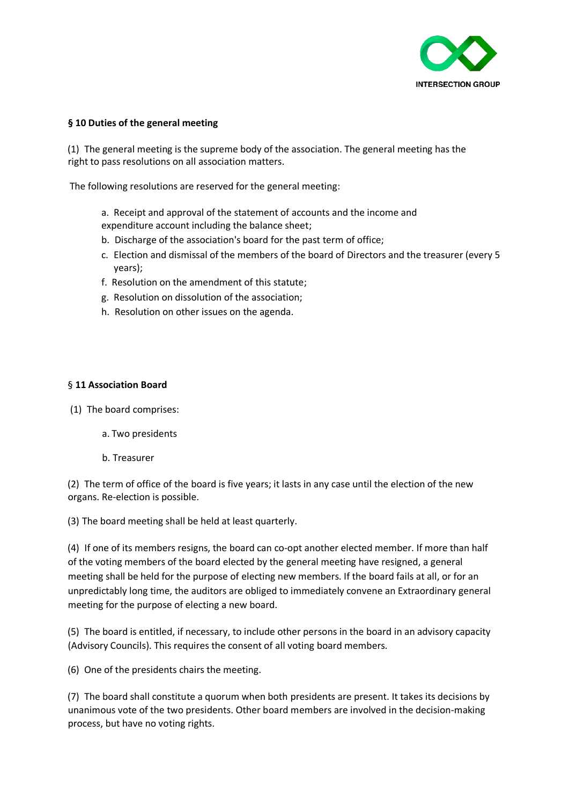

#### **§ 10 Duties of the general meeting**

(1) The general meeting is the supreme body of the association. The general meeting has the right to pass resolutions on all association matters.

The following resolutions are reserved for the general meeting:

- a. Receipt and approval of the statement of accounts and the income and expenditure account including the balance sheet;
- b. Discharge of the association's board for the past term of office;
- c. Election and dismissal of the members of the board of Directors and the treasurer (every 5 years);
- f. Resolution on the amendment of this statute;
- g. Resolution on dissolution of the association;
- h. Resolution on other issues on the agenda.

#### § **11 Association Board**

(1) The board comprises:

- a. Two presidents
- b. Treasurer

(2) The term of office of the board is five years; it lasts in any case until the election of the new organs. Re-election is possible.

(3) The board meeting shall be held at least quarterly.

(4) If one of its members resigns, the board can co-opt another elected member. If more than half of the voting members of the board elected by the general meeting have resigned, a general meeting shall be held for the purpose of electing new members. If the board fails at all, or for an unpredictably long time, the auditors are obliged to immediately convene an Extraordinary general meeting for the purpose of electing a new board.

(5) The board is entitled, if necessary, to include other persons in the board in an advisory capacity (Advisory Councils). This requires the consent of all voting board members.

(6) One of the presidents chairs the meeting.

(7) The board shall constitute a quorum when both presidents are present. It takes its decisions by unanimous vote of the two presidents. Other board members are involved in the decision-making process, but have no voting rights.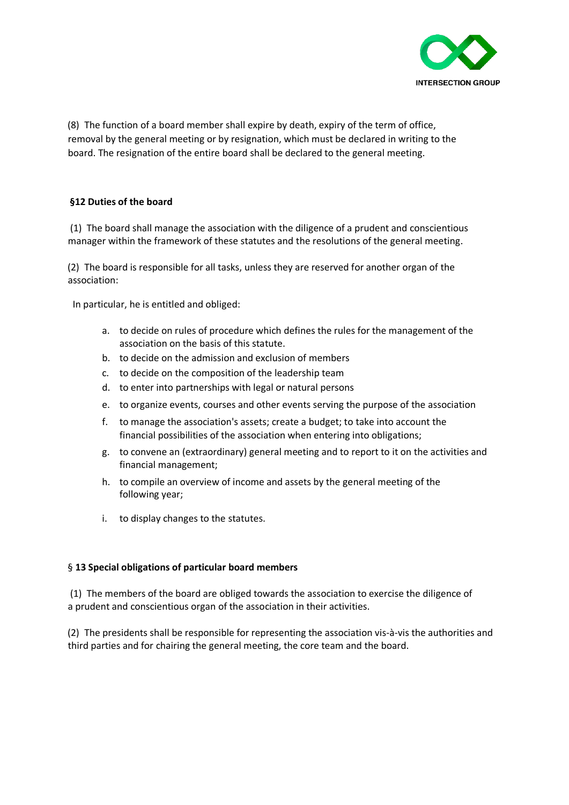

(8) The function of a board member shall expire by death, expiry of the term of office, removal by the general meeting or by resignation, which must be declared in writing to the board. The resignation of the entire board shall be declared to the general meeting.

# **§12 Duties of the board**

(1) The board shall manage the association with the diligence of a prudent and conscientious manager within the framework of these statutes and the resolutions of the general meeting.

(2) The board is responsible for all tasks, unless they are reserved for another organ of the association:

In particular, he is entitled and obliged:

- a. to decide on rules of procedure which defines the rules for the management of the association on the basis of this statute.
- b. to decide on the admission and exclusion of members
- c. to decide on the composition of the leadership team
- d. to enter into partnerships with legal or natural persons
- e. to organize events, courses and other events serving the purpose of the association
- f. to manage the association's assets; create a budget; to take into account the financial possibilities of the association when entering into obligations;
- g. to convene an (extraordinary) general meeting and to report to it on the activities and financial management;
- h. to compile an overview of income and assets by the general meeting of the following year;
- i. to display changes to the statutes.

#### § **13 Special obligations of particular board members**

(1) The members of the board are obliged towards the association to exercise the diligence of a prudent and conscientious organ of the association in their activities.

(2) The presidents shall be responsible for representing the association vis-à-vis the authorities and third parties and for chairing the general meeting, the core team and the board.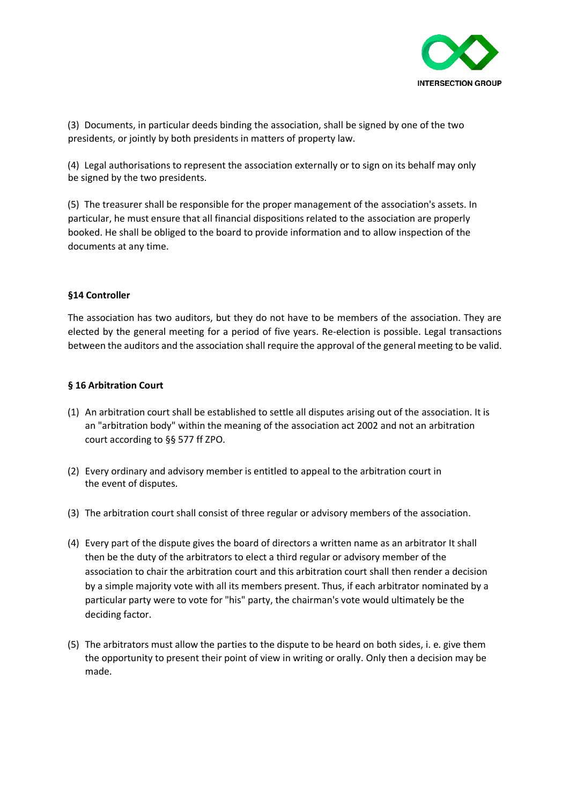

(3) Documents, in particular deeds binding the association, shall be signed by one of the two presidents, or jointly by both presidents in matters of property law.

(4) Legal authorisations to represent the association externally or to sign on its behalf may only be signed by the two presidents.

(5) The treasurer shall be responsible for the proper management of the association's assets. In particular, he must ensure that all financial dispositions related to the association are properly booked. He shall be obliged to the board to provide information and to allow inspection of the documents at any time.

#### **§14 Controller**

The association has two auditors, but they do not have to be members of the association. They are elected by the general meeting for a period of five years. Re-election is possible. Legal transactions between the auditors and the association shall require the approval of the general meeting to be valid.

#### **§ 16 Arbitration Court**

- (1) An arbitration court shall be established to settle all disputes arising out of the association. It is an "arbitration body" within the meaning of the association act 2002 and not an arbitration court according to §§ 577 ff ZPO.
- (2) Every ordinary and advisory member is entitled to appeal to the arbitration court in the event of disputes.
- (3) The arbitration court shall consist of three regular or advisory members of the association.
- (4) Every part of the dispute gives the board of directors a written name as an arbitrator It shall then be the duty of the arbitrators to elect a third regular or advisory member of the association to chair the arbitration court and this arbitration court shall then render a decision by a simple majority vote with all its members present. Thus, if each arbitrator nominated by a particular party were to vote for "his" party, the chairman's vote would ultimately be the deciding factor.
- (5) The arbitrators must allow the parties to the dispute to be heard on both sides, i. e. give them the opportunity to present their point of view in writing or orally. Only then a decision may be made.